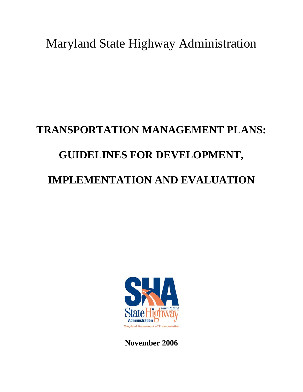Maryland State Highway Administration

# **TRANSPORTATION MANAGEMENT PLANS: GUIDELINES FOR DEVELOPMENT, IMPLEMENTATION AND EVALUATION**



**November 2006**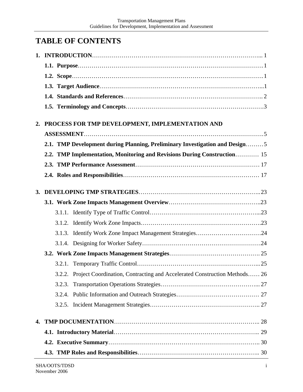# **TABLE OF CONTENTS**

| 2. | PROCESS FOR TMP DEVELOPMENT, IMPLEMENTATION AND                                  |  |
|----|----------------------------------------------------------------------------------|--|
|    |                                                                                  |  |
|    | 2.1. TMP Development during Planning, Preliminary Investigation and Design5      |  |
|    | 2.2. TMP Implementation, Monitoring and Revisions During Construction 15         |  |
|    |                                                                                  |  |
|    |                                                                                  |  |
|    |                                                                                  |  |
|    |                                                                                  |  |
|    |                                                                                  |  |
|    |                                                                                  |  |
|    |                                                                                  |  |
|    |                                                                                  |  |
|    |                                                                                  |  |
|    |                                                                                  |  |
|    | 3.2.2. Project Coordination, Contracting and Accelerated Construction Methods 26 |  |
|    | 3.2.3.                                                                           |  |
|    |                                                                                  |  |
|    |                                                                                  |  |
| 4. |                                                                                  |  |
|    |                                                                                  |  |
|    |                                                                                  |  |
|    |                                                                                  |  |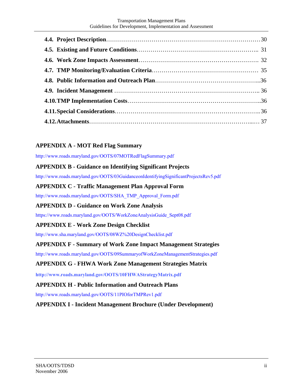#### Transportation Management Plans Guidelines for Development, Implementation and Assessment

#### **APPENDIX A - MOT Red Flag Summary**

http://www.roads.maryland.gov/OOTS/07MOTRedFlagSummary.pdf

#### **APPENDIX B - Guidance on Identifying Significant Projects**

http://www.roads.maryland.gov/OOTS/03GuidanceonIdentifyingSignificantProjectsRev5.pdf

#### **APPENDIX C - Traffic Management Plan Approval Form**

http://www.roads.maryland.gov/OOTS/SHA\_TMP\_Approval\_Form.pdf

#### **APPENDIX D - Guidance on Work Zone Analysis**

https://www.roads.maryland.gov/OOTS/WorkZoneAnalysisGuide\_Sept08.pdf

#### **APPENDIX E - Work Zone Design Checklist**

http://www.sha.maryland.gov/OOTS/08WZ%20DesignChecklist.pdf

#### **APPENDIX F - Summary of Work Zone Impact Management Strategies**

http://www.roads.maryland.gov/OOTS/09SummaryofWorkZoneManagementStrategies.pdf

#### **APPENDIX G - FHWA Work Zone Management Strategies Matrix**

**http://www.roads.maryland.gov/OOTS/10FHWAStrategyMatrix.pdf**

#### **APPENDIX H - Public Information and Outreach Plans**

http://www.roads.maryland.gov/OOTS/11PIOforTMPRev1.pdf

**APPENDIX I - Incident Management Brochure (Under Development)**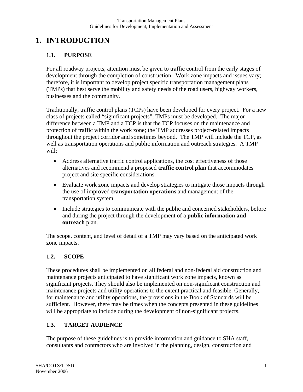# **1. INTRODUCTION**

## **1.1. PURPOSE**

For all roadway projects, attention must be given to traffic control from the early stages of development through the completion of construction. Work zone impacts and issues vary; therefore, it is important to develop project specific transportation management plans (TMPs) that best serve the mobility and safety needs of the road users, highway workers, businesses and the community.

Traditionally, traffic control plans (TCPs) have been developed for every project. For a new class of projects called "significant projects", TMPs must be developed. The major difference between a TMP and a TCP is that the TCP focuses on the maintenance and protection of traffic within the work zone; the TMP addresses project-related impacts throughout the project corridor and sometimes beyond. The TMP will include the TCP, as well as transportation operations and public information and outreach strategies. A TMP will:

- Address alternative traffic control applications, the cost effectiveness of those alternatives and recommend a proposed **traffic control plan** that accommodates project and site specific considerations.
- Evaluate work zone impacts and develop strategies to mitigate those impacts through the use of improved **transportation operations** and management of the transportation system.
- Include strategies to communicate with the public and concerned stakeholders, before and during the project through the development of a **public information and outreach** plan.

The scope, content, and level of detail of a TMP may vary based on the anticipated work zone impacts.

## **1.2. SCOPE**

These procedures shall be implemented on all federal and non-federal aid construction and maintenance projects anticipated to have significant work zone impacts, known as significant projects. They should also be implemented on non-significant construction and maintenance projects and utility operations to the extent practical and feasible. Generally, for maintenance and utility operations, the provisions in the Book of Standards will be sufficient. However, there may be times when the concepts presented in these guidelines will be appropriate to include during the development of non-significant projects.

## **1.3. TARGET AUDIENCE**

The purpose of these guidelines is to provide information and guidance to SHA staff, consultants and contractors who are involved in the planning, design, construction and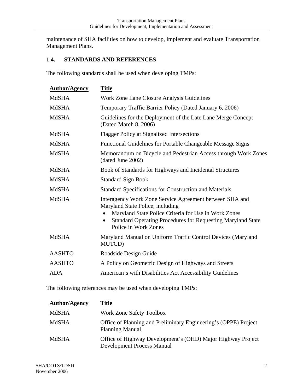maintenance of SHA facilities on how to develop, implement and evaluate Transportation Management Plans.

## **1.4. STANDARDS AND REFERENCES**

The following standards shall be used when developing TMPs:

| <b>Author/Agency</b> | <b>Title</b>                                                                                                                                                                                                                                      |  |  |
|----------------------|---------------------------------------------------------------------------------------------------------------------------------------------------------------------------------------------------------------------------------------------------|--|--|
| <b>MdSHA</b>         | Work Zone Lane Closure Analysis Guidelines                                                                                                                                                                                                        |  |  |
| <b>MdSHA</b>         | Temporary Traffic Barrier Policy (Dated January 6, 2006)                                                                                                                                                                                          |  |  |
| <b>MdSHA</b>         | Guidelines for the Deployment of the Late Lane Merge Concept<br>(Dated March 8, 2006)                                                                                                                                                             |  |  |
| <b>MdSHA</b>         | <b>Flagger Policy at Signalized Intersections</b>                                                                                                                                                                                                 |  |  |
| <b>MdSHA</b>         | Functional Guidelines for Portable Changeable Message Signs                                                                                                                                                                                       |  |  |
| <b>MdSHA</b>         | Memorandum on Bicycle and Pedestrian Access through Work Zones<br>(dated June 2002)                                                                                                                                                               |  |  |
| <b>MdSHA</b>         | Book of Standards for Highways and Incidental Structures                                                                                                                                                                                          |  |  |
| <b>MdSHA</b>         | <b>Standard Sign Book</b>                                                                                                                                                                                                                         |  |  |
| <b>MdSHA</b>         | <b>Standard Specifications for Construction and Materials</b>                                                                                                                                                                                     |  |  |
| <b>MdSHA</b>         | Interagency Work Zone Service Agreement between SHA and<br>Maryland State Police, including<br>Maryland State Police Criteria for Use in Work Zones<br><b>Standard Operating Procedures for Requesting Maryland State</b><br>Police in Work Zones |  |  |
| <b>MdSHA</b>         | Maryland Manual on Uniform Traffic Control Devices (Maryland<br>MUTCD)                                                                                                                                                                            |  |  |
| <b>AASHTO</b>        | Roadside Design Guide                                                                                                                                                                                                                             |  |  |
| <b>AASHTO</b>        | A Policy on Geometric Design of Highways and Streets                                                                                                                                                                                              |  |  |
| <b>ADA</b>           | American's with Disabilities Act Accessibility Guidelines                                                                                                                                                                                         |  |  |
|                      |                                                                                                                                                                                                                                                   |  |  |

The following references may be used when developing TMPs:

| <b>Author/Agency</b> | Title                                                                                            |
|----------------------|--------------------------------------------------------------------------------------------------|
| MdSHA                | <b>Work Zone Safety Toolbox</b>                                                                  |
| MdSHA                | Office of Planning and Preliminary Engineering's (OPPE) Project<br><b>Planning Manual</b>        |
| MdSHA                | Office of Highway Development's (OHD) Major Highway Project<br><b>Development Process Manual</b> |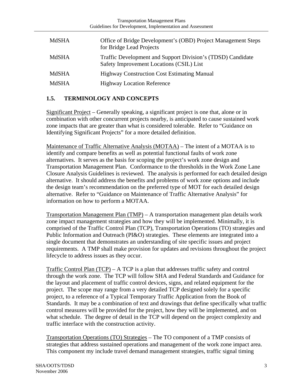| MdSHA | Office of Bridge Development's (OBD) Project Management Steps<br>for Bridge Lead Projects               |
|-------|---------------------------------------------------------------------------------------------------------|
| MdSHA | Traffic Development and Support Division's (TDSD) Candidate<br>Safety Improvement Locations (CSIL) List |
| MdSHA | <b>Highway Construction Cost Estimating Manual</b>                                                      |
| MdSHA | <b>Highway Location Reference</b>                                                                       |

#### **1.5. TERMINOLOGY AND CONCEPTS**

Significant Project – Generally speaking, a significant project is one that, alone or in combination with other concurrent projects nearby, is anticipated to cause sustained work zone impacts that are greater than what is considered tolerable. Refer to "Guidance on Identifying Significant Projects" for a more detailed definition.

Maintenance of Traffic Alternative Analysis (MOTAA) – The intent of a MOTAA is to identify and compare benefits as well as potential functional faults of work zone alternatives. It serves as the basis for scoping the project's work zone design and Transportation Management Plan. Conformance to the thresholds in the Work Zone Lane Closure Analysis Guidelines is reviewed. The analysis is performed for each detailed design alternative. It should address the benefits and problems of work zone options and include the design team's recommendation on the preferred type of MOT for each detailed design alternative. Refer to "Guidance on Maintenance of Traffic Alternative Analysis" for information on how to perform a MOTAA.

Transportation Management Plan (TMP) – A transportation management plan details work zone impact management strategies and how they will be implemented. Minimally, it is comprised of the Traffic Control Plan (TCP), Transportation Operations (TO) strategies and Public Information and Outreach (PI&O) strategies. These elements are integrated into a single document that demonstrates an understanding of site specific issues and project requirements. A TMP shall make provision for updates and revisions throughout the project lifecycle to address issues as they occur.

Traffic Control Plan (TCP) – A TCP is a plan that addresses traffic safety and control through the work zone. The TCP will follow SHA and Federal Standards and Guidance for the layout and placement of traffic control devices, signs, and related equipment for the project. The scope may range from a very detailed TCP designed solely for a specific project, to a reference of a Typical Temporary Traffic Application from the Book of Standards. It may be a combination of text and drawings that define specifically what traffic control measures will be provided for the project, how they will be implemented, and on what schedule. The degree of detail in the TCP will depend on the project complexity and traffic interface with the construction activity.

Transportation Operations (TO) Strategies – The TO component of a TMP consists of strategies that address sustained operations and management of the work zone impact area. This component my include travel demand management strategies, traffic signal timing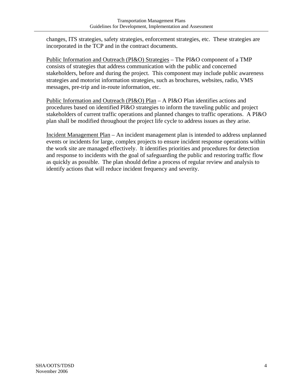changes, ITS strategies, safety strategies, enforcement strategies, etc. These strategies are incorporated in the TCP and in the contract documents.

Public Information and Outreach (PI&O) Strategies – The PI&O component of a TMP consists of strategies that address communication with the public and concerned stakeholders, before and during the project. This component may include public awareness strategies and motorist information strategies, such as brochures, websites, radio, VMS messages, pre-trip and in-route information, etc.

Public Information and Outreach (PI&O) Plan – A PI&O Plan identifies actions and procedures based on identified PI&O strategies to inform the traveling public and project stakeholders of current traffic operations and planned changes to traffic operations. A PI&O plan shall be modified throughout the project life cycle to address issues as they arise.

Incident Management Plan – An incident management plan is intended to address unplanned events or incidents for large, complex projects to ensure incident response operations within the work site are managed effectively. It identifies priorities and procedures for detection and response to incidents with the goal of safeguarding the public and restoring traffic flow as quickly as possible. The plan should define a process of regular review and analysis to identify actions that will reduce incident frequency and severity.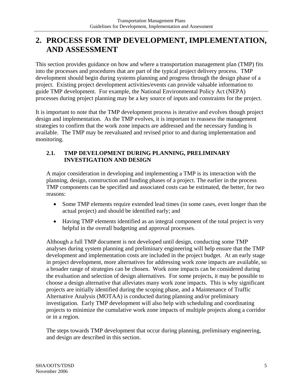# **2. PROCESS FOR TMP DEVELOPMENT, IMPLEMENTATION, AND ASSESSMENT**

This section provides guidance on how and where a transportation management plan (TMP) fits into the processes and procedures that are part of the typical project delivery process. TMP development should begin during systems planning and progress through the design phase of a project. Existing project development activities/events can provide valuable information to guide TMP development. For example, the National Environmental Policy Act (NEPA) processes during project planning may be a key source of inputs and constraints for the project.

It is important to note that the TMP development process is iterative and evolves though project design and implementation. As the TMP evolves, it is important to reassess the management strategies to confirm that the work zone impacts are addressed and the necessary funding is available. The TMP may be reevaluated and revised prior to and during implementation and monitoring.

#### **2.1. TMP DEVELOPMENT DURING PLANNING, PRELIMINARY INVESTIGATION AND DESIGN**

A major consideration in developing and implementing a TMP is its interaction with the planning, design, construction and funding phases of a project. The earlier in the process TMP components can be specified and associated costs can be estimated, the better, for two reasons:

- Some TMP elements require extended lead times (in some cases, even longer than the actual project) and should be identified early; and
- Having TMP elements identified as an integral component of the total project is very helpful in the overall budgeting and approval processes.

Although a full TMP document is not developed until design, conducting some TMP analyses during system planning and preliminary engineering will help ensure that the TMP development and implementation costs are included in the project budget. At an early stage in project development, more alternatives for addressing work zone impacts are available, so a broader range of strategies can be chosen. Work zone impacts can be considered during the evaluation and selection of design alternatives. For some projects, it may be possible to choose a design alternative that alleviates many work zone impacts. This is why significant projects are initially identified during the scoping phase, and a Maintenance of Traffic Alternative Analysis (MOTAA) is conducted during planning and/or preliminary investigation. Early TMP development will also help with scheduling and coordinating projects to minimize the cumulative work zone impacts of multiple projects along a corridor or in a region.

The steps towards TMP development that occur during planning, preliminary engineering, and design are described in this section.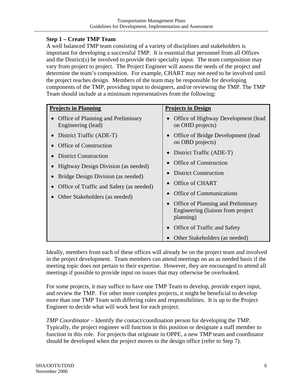## **Step 1 – Create TMP Team**

A well balanced TMP team consisting of a variety of disciplines and stakeholders is important for developing a successful TMP. It is essential that personnel from all Offices and the District(s) be involved to provide their specialty input. The team composition may vary from project to project. The Project Engineer will assess the needs of the project and determine the team's composition. For example, CHART may not need to be involved until the project reaches design. Members of the team may be responsible for developing components of the TMP, providing input to designers, and/or reviewing the TMP. The TMP Team should include at a minimum representatives from the following:

| <b>Projects in Planning</b>                              | <b>Projects in Design</b>                                                                   |  |
|----------------------------------------------------------|---------------------------------------------------------------------------------------------|--|
| Office of Planning and Preliminary<br>Engineering (lead) | Office of Highway Development (lead<br>on OHD projects)                                     |  |
| District Traffic (ADE-T)                                 | Office of Bridge Development (lead                                                          |  |
| <b>Office of Construction</b>                            | on OBD projects)                                                                            |  |
| <b>District Construction</b>                             | District Traffic (ADE-T)                                                                    |  |
| Highway Design Division (as needed)                      | Office of Construction                                                                      |  |
| Bridge Design Division (as needed)                       | <b>District Construction</b>                                                                |  |
| Office of Traffic and Safety (as needed)                 | Office of CHART                                                                             |  |
|                                                          | <b>Office of Communications</b>                                                             |  |
| Other Stakeholders (as needed)                           | <b>Office of Planning and Preliminary</b><br>Engineering (liaison from project<br>planning) |  |
|                                                          | Office of Traffic and Safety                                                                |  |
|                                                          | Other Stakeholders (as needed)                                                              |  |

Ideally, members from each of these offices will already be on the project team and involved in the project development. Team members can attend meetings on an as needed basis if the meeting topic does not pertain to their expertise. However, they are encouraged to attend all meetings if possible to provide input on issues that may otherwise be overlooked.

For some projects, it may suffice to have one TMP Team to develop, provide expert input, and review the TMP. For other more complex projects, it might be beneficial to develop more than one TMP Team with differing roles and responsibilities. It is up to the Project Engineer to decide what will work best for each project.

*TMP Coordinator* – Identify the contact/coordination person for developing the TMP. Typically, the project engineer will function in this position or designate a staff member to function in this role. For projects that originate in OPPE, a new TMP team and coordinator should be developed when the project moves to the design office (refer to Step 7).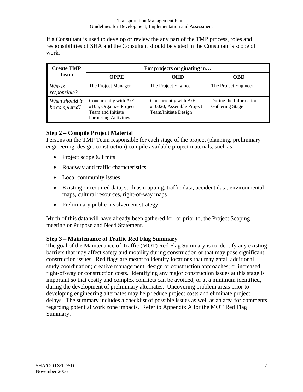If a Consultant is used to develop or review the any part of the TMP process, roles and responsibilities of SHA and the Consultant should be stated in the Consultant's scope of work.

| <b>Create TMP</b>                                                                                                                       | For projects originating in |                                                                           |                                                  |
|-----------------------------------------------------------------------------------------------------------------------------------------|-----------------------------|---------------------------------------------------------------------------|--------------------------------------------------|
| <b>Team</b>                                                                                                                             | OPPE                        | <b>OHD</b>                                                                | <b>OBD</b>                                       |
| Who is<br>responsible?                                                                                                                  | The Project Manager         | The Project Engineer                                                      | The Project Engineer                             |
| Concurrently with A/E<br>When should it<br>#105, Organize Project<br>be completed?<br>Team and Initiate<br><b>Partnering Activities</b> |                             | Concurrently with A/E<br>#10020, Assemble Project<br>Team/Initiate Design | During the Information<br><b>Gathering Stage</b> |

## **Step 2 – Compile Project Material**

Persons on the TMP Team responsible for each stage of the project (planning, preliminary engineering, design, construction) compile available project materials, such as:

- Project scope & limits
- Roadway and traffic characteristics
- Local community issues
- Existing or required data, such as mapping, traffic data, accident data, environmental maps, cultural resources, right-of-way maps
- Preliminary public involvement strategy

Much of this data will have already been gathered for, or prior to, the Project Scoping meeting or Purpose and Need Statement.

#### **Step 3 – Maintenance of Traffic Red Flag Summary**

The goal of the Maintenance of Traffic (MOT) Red Flag Summary is to identify any existing barriers that may affect safety and mobility during construction or that may pose significant construction issues. Red flags are meant to identify locations that may entail additional study coordination; creative management, design or construction approaches; or increased right-of-way or construction costs. Identifying any major construction issues at this stage is important so that costly and complex conflicts can be avoided, or at a minimum identified, during the development of preliminary alternates. Uncovering problem areas prior to developing engineering alternates may help reduce project costs and eliminate project delays. The summary includes a checklist of possible issues as well as an area for comments regarding potential work zone impacts. Refer to Appendix A for the MOT Red Flag Summary.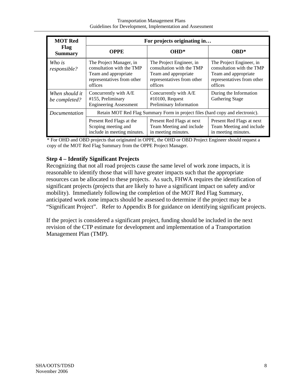| <b>MOT Red</b>                                                                 | For projects originating in                                                                                           |                                                                                                                        |                                                                                                                        |  |
|--------------------------------------------------------------------------------|-----------------------------------------------------------------------------------------------------------------------|------------------------------------------------------------------------------------------------------------------------|------------------------------------------------------------------------------------------------------------------------|--|
| <b>Flag</b><br><b>Summary</b>                                                  | <b>OPPE</b>                                                                                                           | OHD*                                                                                                                   | OBD*                                                                                                                   |  |
| Who is<br>responsible?                                                         | The Project Manager, in<br>consultation with the TMP<br>Team and appropriate<br>representatives from other<br>offices | The Project Engineer, in<br>consultation with the TMP<br>Team and appropriate<br>representatives from other<br>offices | The Project Engineer, in<br>consultation with the TMP<br>Team and appropriate<br>representatives from other<br>offices |  |
| When should it<br>be completed?                                                | Concurrently with A/E<br>#155, Preliminary<br><b>Engineering Assessment</b>                                           | Concurrently with A/E<br>$#10100$ , Request<br>Preliminary Information                                                 | During the Information<br><b>Gathering Stage</b>                                                                       |  |
| Documentation                                                                  | Retain MOT Red Flag Summary Form in project files (hard copy and electronic).                                         |                                                                                                                        |                                                                                                                        |  |
| Present Red Flags at the<br>Scoping meeting and<br>include in meeting minutes. |                                                                                                                       | Present Red Flags at next<br>Team Meeting and include<br>in meeting minutes.                                           | Present Red Flags at next<br>Team Meeting and include<br>in meeting minutes.                                           |  |

\* For OHD and OBD projects that originated in OPPE, the OHD or OBD Project Engineer should request a copy of the MOT Red Flag Summary from the OPPE Project Manager.

#### **Step 4 – Identify Significant Projects**

Recognizing that not all road projects cause the same level of work zone impacts, it is reasonable to identify those that will have greater impacts such that the appropriate resources can be allocated to these projects. As such, FHWA requires the identification of significant projects (projects that are likely to have a significant impact on safety and/or mobility). Immediately following the completion of the MOT Red Flag Summary, anticipated work zone impacts should be assessed to determine if the project may be a "Significant Project". Refer to Appendix B for guidance on identifying significant projects.

If the project is considered a significant project, funding should be included in the next revision of the CTP estimate for development and implementation of a Transportation Management Plan (TMP).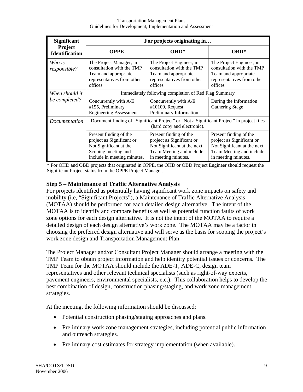| <b>Significant</b>                                                                                         | For projects originating in                                                                                                         |                                                                                                                                       |                                                                                                                                       |
|------------------------------------------------------------------------------------------------------------|-------------------------------------------------------------------------------------------------------------------------------------|---------------------------------------------------------------------------------------------------------------------------------------|---------------------------------------------------------------------------------------------------------------------------------------|
| Project<br><b>Identification</b>                                                                           | <b>OPPE</b>                                                                                                                         | OHD*                                                                                                                                  | <b>OBD*</b>                                                                                                                           |
| Who is<br>responsible?                                                                                     | The Project Manager, in<br>consultation with the TMP<br>Team and appropriate<br>representatives from other<br>offices               | The Project Engineer, in<br>consultation with the TMP<br>Team and appropriate<br>representatives from other<br>offices                | The Project Engineer, in<br>consultation with the TMP<br>Team and appropriate<br>representatives from other<br>offices                |
| When should it                                                                                             | Immediately following completion of Red Flag Summary                                                                                |                                                                                                                                       |                                                                                                                                       |
| be completed?                                                                                              | Concurrently with A/E<br>#155, Preliminary<br><b>Engineering Assessment</b>                                                         | Concurrently with A/E<br>$#10100$ , Request<br>Preliminary Information                                                                | During the Information<br><b>Gathering Stage</b>                                                                                      |
| Document finding of "Significant Project" or "Not a Significant Project" in project files<br>Documentation |                                                                                                                                     | (hard copy and electronic).                                                                                                           |                                                                                                                                       |
|                                                                                                            | Present finding of the<br>project as Significant or<br>Not Significant at the<br>Scoping meeting and<br>include in meeting minutes. | Present finding of the<br>project as Significant or<br>Not Significant at the next<br>Team Meeting and include<br>in meeting minutes. | Present finding of the<br>project as Significant or<br>Not Significant at the next<br>Team Meeting and include<br>in meeting minutes. |

\* For OHD and OBD projects that originated in OPPE, the OHD or OBD Project Engineer should request the Significant Project status from the OPPE Project Manager.

#### **Step 5 – Maintenance of Traffic Alternative Analysis**

For projects identified as potentially having significant work zone impacts on safety and mobility (i.e, "Significant Projects"), a Maintenance of Traffic Alternative Analysis (MOTAA) should be performed for each detailed design alternative. The intent of the MOTAA is to identify and compare benefits as well as potential function faults of work zone options for each design alternative. It is not the intent of the MOTAA to require a detailed design of each design alternative's work zone. The MOTAA may be a factor in choosing the preferred design alternative and will serve as the basis for scoping the project's work zone design and Transportation Management Plan.

The Project Manager and/or Consultant Project Manager should arrange a meeting with the TMP Team to obtain project information and help identify potential issues or concerns. The TMP Team for the MOTAA should include the ADE-T, ADE-C, design team representatives and other relevant technical specialists (such as right-of-way experts, pavement engineers, environmental specialists, etc.). This collaboration helps to develop the best combination of design, construction phasing/staging, and work zone management strategies.

At the meeting, the following information should be discussed:

- Potential construction phasing/staging approaches and plans.
- Preliminary work zone management strategies, including potential public information and outreach strategies.
- Preliminary cost estimates for strategy implementation (when available).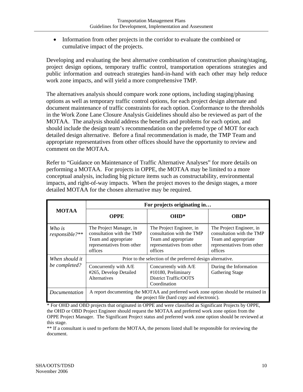• Information from other projects in the corridor to evaluate the combined or cumulative impact of the projects.

Developing and evaluating the best alternative combination of construction phasing/staging, project design options, temporary traffic control, transportation operations strategies and public information and outreach strategies hand-in-hand with each other may help reduce work zone impacts, and will yield a more comprehensive TMP.

The alternatives analysis should compare work zone options, including staging/phasing options as well as temporary traffic control options, for each project design alternate and document maintenance of traffic constraints for each option. Conformance to the thresholds in the Work Zone Lane Closure Analysis Guidelines should also be reviewed as part of the MOTAA. The analysis should address the benefits and problems for each option, and should include the design team's recommendation on the preferred type of MOT for each detailed design alternative. Before a final recommendation is made, the TMP Team and appropriate representatives from other offices should have the opportunity to review and comment on the MOTAA.

Refer to "Guidance on Maintenance of Traffic Alternative Analyses" for more details on performing a MOTAA. For projects in OPPE, the MOTAA may be limited to a more conceptual analysis, including big picture items such as constructability, environmental impacts, and right-of-way impacts. When the project moves to the design stages, a more detailed MOTAA for the chosen alternative may be required.

|                          | For projects originating in                                                                                                         |                                                                                                                        |                                                                                                                        |
|--------------------------|-------------------------------------------------------------------------------------------------------------------------------------|------------------------------------------------------------------------------------------------------------------------|------------------------------------------------------------------------------------------------------------------------|
| <b>MOTAA</b>             | <b>OPPE</b>                                                                                                                         | $OHD^*$                                                                                                                | OBD*                                                                                                                   |
| Who is<br>responsible?** | The Project Manager, in<br>consultation with the TMP<br>Team and appropriate<br>representatives from other<br>offices               | The Project Engineer, in<br>consultation with the TMP<br>Team and appropriate<br>representatives from other<br>offices | The Project Engineer, in<br>consultation with the TMP<br>Team and appropriate<br>representatives from other<br>offices |
| When should it           | Prior to the selection of the preferred design alternative.                                                                         |                                                                                                                        |                                                                                                                        |
| be completed?            | Concurrently with A/E<br>#265, Develop Detailed<br>Alternatives                                                                     | Concurrently with A/E<br>#10180, Preliminary<br>District Traffic/OOTS<br>Coordination                                  | During the Information<br><b>Gathering Stage</b>                                                                       |
| <i>Documentation</i>     | A report documenting the MOTAA and preferred work zone option should be retained in<br>the project file (hard copy and electronic). |                                                                                                                        |                                                                                                                        |

\* For OHD and OBD projects that originated in OPPE and were classified as Significant Projects by OPPE, the OHD or OBD Project Engineer should request the MOTAA and preferred work zone option from the OPPE Project Manager. The Significant Project status and preferred work zone option should be reviewed at this stage.

\*\* If a consultant is used to perform the MOTAA, the persons listed shall be responsible for reviewing the document.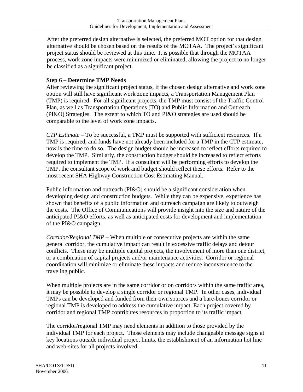After the preferred design alternative is selected, the preferred MOT option for that design alternative should be chosen based on the results of the MOTAA. The project's significant project status should be reviewed at this time. It is possible that through the MOTAA process, work zone impacts were minimized or eliminated, allowing the project to no longer be classified as a significant project.

#### **Step 6 – Determine TMP Needs**

After reviewing the significant project status, if the chosen design alternative and work zone option will still have significant work zone impacts, a Transportation Management Plan (TMP) is required. For all significant projects, the TMP must consist of the Traffic Control Plan, as well as Transportation Operations (TO) and Public Information and Outreach (PI&O) Strategies. The extent to which TO and PI&O strategies are used should be comparable to the level of work zone impacts.

*CTP Estimate* – To be successful, a TMP must be supported with sufficient resources. If a TMP is required, and funds have not already been included for a TMP in the CTP estimate, now is the time to do so. The design budget should be increased to reflect efforts required to develop the TMP. Similarly, the construction budget should be increased to reflect efforts required to implement the TMP. If a consultant will be performing efforts to develop the TMP, the consultant scope of work and budget should reflect these efforts. Refer to the most recent SHA Highway Construction Cost Estimating Manual.

Public information and outreach (PI&O) should be a significant consideration when developing design and construction budgets. While they can be expensive, experience has shown that benefits of a public information and outreach campaign are likely to outweigh the costs. The Office of Communications will provide insight into the size and nature of the anticipated PI&O efforts, as well as anticipated costs for development and implementation of the PI&O campaign.

*Corridor/Regional TMP* – When multiple or consecutive projects are within the same general corridor, the cumulative impact can result in excessive traffic delays and detour conflicts. These may be multiple capital projects, the involvement of more than one district, or a combination of capital projects and/or maintenance activities. Corridor or regional coordination will minimize or eliminate these impacts and reduce inconvenience to the traveling public.

When multiple projects are in the same corridor or on corridors within the same traffic area, it may be possible to develop a single corridor or regional TMP. In other cases, individual TMPs can be developed and funded from their own sources and a bare-bones corridor or regional TMP is developed to address the cumulative impact. Each project covered by corridor and regional TMP contributes resources in proportion to its traffic impact.

The corridor/regional TMP may need elements in addition to those provided by the individual TMP for each project. Those elements may include changeable message signs at key locations outside individual project limits, the establishment of an information hot line and web-sites for all projects involved.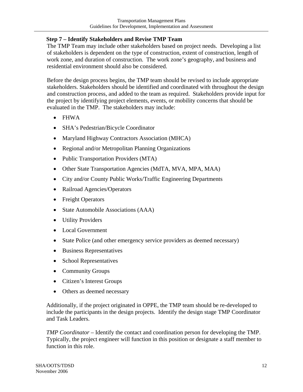#### **Step 7 – Identify Stakeholders and Revise TMP Team**

The TMP Team may include other stakeholders based on project needs. Developing a list of stakeholders is dependent on the type of construction, extent of construction, length of work zone, and duration of construction. The work zone's geography, and business and residential environment should also be considered.

Before the design process begins, the TMP team should be revised to include appropriate stakeholders. Stakeholders should be identified and coordinated with throughout the design and construction process, and added to the team as required. Stakeholders provide input for the project by identifying project elements, events, or mobility concerns that should be evaluated in the TMP. The stakeholders may include:

- FHWA
- SHA's Pedestrian/Bicycle Coordinator
- Maryland Highway Contractors Association (MHCA)
- Regional and/or Metropolitan Planning Organizations
- Public Transportation Providers (MTA)
- Other State Transportation Agencies (MdTA, MVA, MPA, MAA)
- City and/or County Public Works/Traffic Engineering Departments
- Railroad Agencies/Operators
- Freight Operators
- State Automobile Associations (AAA)
- Utility Providers
- Local Government
- State Police (and other emergency service providers as deemed necessary)
- Business Representatives
- School Representatives
- Community Groups
- Citizen's Interest Groups
- Others as deemed necessary

Additionally, if the project originated in OPPE, the TMP team should be re-developed to include the participants in the design projects. Identify the design stage TMP Coordinator and Task Leaders.

*TMP Coordinator* – Identify the contact and coordination person for developing the TMP. Typically, the project engineer will function in this position or designate a staff member to function in this role.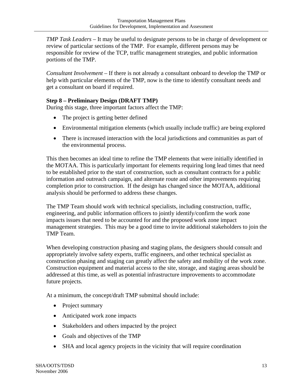*TMP Task Leaders* – It may be useful to designate persons to be in charge of development or review of particular sections of the TMP. For example, different persons may be responsible for review of the TCP, traffic management strategies, and public information portions of the TMP.

*Consultant Involvement* – If there is not already a consultant onboard to develop the TMP or help with particular elements of the TMP, now is the time to identify consultant needs and get a consultant on board if required.

#### **Step 8 – Preliminary Design (DRAFT TMP)**

During this stage, three important factors affect the TMP:

- The project is getting better defined
- Environmental mitigation elements (which usually include traffic) are being explored
- There is increased interaction with the local jurisdictions and communities as part of the environmental process.

This then becomes an ideal time to refine the TMP elements that were initially identified in the MOTAA. This is particularly important for elements requiring long lead times that need to be established prior to the start of construction, such as consultant contracts for a public information and outreach campaign, and alternate route and other improvements requiring completion prior to construction. If the design has changed since the MOTAA, additional analysis should be performed to address these changes.

The TMP Team should work with technical specialists, including construction, traffic, engineering, and public information officers to jointly identify/confirm the work zone impacts issues that need to be accounted for and the proposed work zone impact management strategies. This may be a good time to invite additional stakeholders to join the TMP Team.

When developing construction phasing and staging plans, the designers should consult and appropriately involve safety experts, traffic engineers, and other technical specialist as construction phasing and staging can greatly affect the safety and mobility of the work zone. Construction equipment and material access to the site, storage, and staging areas should be addressed at this time, as well as potential infrastructure improvements to accommodate future projects.

At a minimum, the concept/draft TMP submittal should include:

- Project summary
- Anticipated work zone impacts
- Stakeholders and others impacted by the project
- Goals and objectives of the TMP
- SHA and local agency projects in the vicinity that will require coordination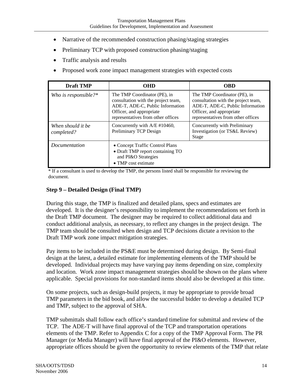- Narrative of the recommended construction phasing/staging strategies
- Preliminary TCP with proposed construction phasing/staging
- Traffic analysis and results
- Proposed work zone impact management strategies with expected costs

| <b>Draft TMP</b>                                                                             | OHD                                                                                                                                                                       | <b>OBD</b>                                                                                                                                                                |
|----------------------------------------------------------------------------------------------|---------------------------------------------------------------------------------------------------------------------------------------------------------------------------|---------------------------------------------------------------------------------------------------------------------------------------------------------------------------|
| Who is responsible? $*$                                                                      | The TMP Coordinator (PE), in<br>consultation with the project team,<br>ADE-T, ADE-C, Public Information<br>Officer, and appropriate<br>representatives from other offices | The TMP Coordinator (PE), in<br>consultation with the project team,<br>ADE-T, ADE-C, Public Information<br>Officer, and appropriate<br>representatives from other offices |
| Concurrently with $A/E$ #10460,<br>When should it be<br>Preliminary TCP Design<br>completed? |                                                                                                                                                                           | Concurrently with Preliminary<br>Investigation (or TS&L Review)<br>Stage                                                                                                  |
| <i>Documentation</i>                                                                         | • Concept Traffic Control Plans<br>• Draft TMP report containing TO<br>and PI&O Strategies<br>$\bullet$ TMP cost estimate                                                 |                                                                                                                                                                           |

\* If a consultant is used to develop the TMP, the persons listed shall be responsible for reviewing the document.

#### **Step 9 – Detailed Design (Final TMP)**

During this stage, the TMP is finalized and detailed plans, specs and estimates are developed. It is the designer's responsibility to implement the recommendations set forth in the Draft TMP document. The designer may be required to collect additional data and conduct additional analysis, as necessary, to reflect any changes in the project design. The TMP team should be consulted when design and TCP decisions dictate a revision to the Draft TMP work zone impact mitigation strategies.

Pay items to be included in the PS&E must be determined during design. By Semi-final design at the latest, a detailed estimate for implementing elements of the TMP should be developed. Individual projects may have varying pay items depending on size, complexity and location. Work zone impact management strategies should be shown on the plans where applicable. Special provisions for non-standard items should also be developed at this time.

On some projects, such as design-build projects, it may be appropriate to provide broad TMP parameters in the bid book, and allow the successful bidder to develop a detailed TCP and TMP, subject to the approval of SHA.

TMP submittals shall follow each office's standard timeline for submittal and review of the TCP. The ADE-T will have final approval of the TCP and transportation operations elements of the TMP. Refer to Appendix C for a copy of the TMP Approval Form. The PR Manager (or Media Manager) will have final approval of the PI&O elements. However, appropriate offices should be given the opportunity to review elements of the TMP that relate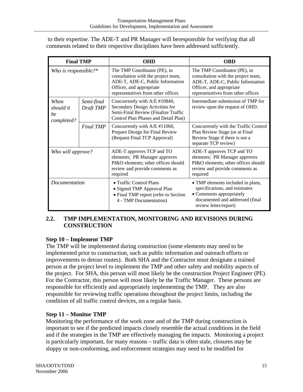to their expertise. The ADE-T and PR Manager will beresponsible for verifying that all comments related to their respective disciplines have been addressed sufficiently.

|                                       | <b>Final TMP</b>        | <b>OHD</b>                                                                                                                                                                | <b>OBD</b>                                                                                                                                                                |
|---------------------------------------|-------------------------|---------------------------------------------------------------------------------------------------------------------------------------------------------------------------|---------------------------------------------------------------------------------------------------------------------------------------------------------------------------|
| Who is responsible?*                  |                         | The TMP Coordinator (PE), in<br>consultation with the project team,<br>ADE-T, ADE-C, Public Information<br>Officer, and appropriate<br>representatives from other offices | The TMP Coordinator (PE), in<br>consultation with the project team,<br>ADE-T, ADE-C, Public Information<br>Officer, and appropriate<br>representatives from other offices |
| When<br>should it<br>be<br>completed? | Semi-final<br>Draft TMP | Concurrently with A/E #10840,<br>Secondary Design Activities for<br>Semi-Final Review (Finalize Traffic<br>Control Plan Phases and Detail Plan)                           | Intermediate submission of TMP for<br>review upon the request of OHD.                                                                                                     |
|                                       | <b>Final TMP</b>        | Concurrently with A/E #11060,<br>Prepare Design for Final Review<br>(Request Final TCP Approval)                                                                          | Concurrently with the Traffic Control<br>Plan Review Stage (or at Final<br>Review Stage if there is not a<br>separate TCP review)                                         |
| Who will approve?                     |                         | ADE-T approves TCP and TO<br>elements; PR Manager approves<br>PI&O elements; other offices should<br>review and provide comments as<br>required                           | ADE-T approves TCP and TO<br>elements; PR Manager approves<br>PI&O elements; other offices should<br>review and provide comments as<br>required                           |
| <i>Documentation</i>                  |                         | • Traffic Control Plans<br>• Signed TMP Approval Plan<br>• Final TMP report (refer to Section<br>4 - TMP Documentation)                                                   | • TMP elements included in plans,<br>specifications, and estimates<br>• Comments appropriately<br>documented and addressed (final<br>review letter/report)                |

#### **2.2. TMP IMPLEMENTATION, MONITORING AND REVISIONS DURING CONSTRUCTION**

#### **Step 10 – Implement TMP**

The TMP will be implemented during construction (some elements may need to be implemented prior to construction, such as public information and outreach efforts or improvements to detour routes). Both SHA and the Contractor must designate a trained person at the project level to implement the TMP and other safety and mobility aspects of the project. For SHA, this person will most likely be the construction Project Engineer (PE). For the Contractor, this person will most likely be the Traffic Manager. These persons are responsible for efficiently and appropriately implementing the TMP. They are also responsible for reviewing traffic operations throughout the project limits, including the condition of all traffic control devices, on a regular basis.

#### **Step 11 – Monitor TMP**

Monitoring the performance of the work zone and of the TMP during construction is important to see if the predicted impacts closely resemble the actual conditions in the field and if the strategies in the TMP are effectively managing the impacts. Monitoring a project is particularly important, for many reasons – traffic data is often stale, closures may be sloppy or non-conforming, and enforcement strategies may need to be modified for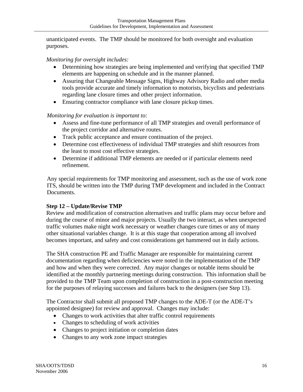unanticipated events. The TMP should be monitored for both oversight and evaluation purposes.

#### *Monitoring for oversight includes:*

- Determining how strategies are being implemented and verifying that specified TMP elements are happening on schedule and in the manner planned.
- Assuring that Changeable Message Signs, Highway Advisory Radio and other media tools provide accurate and timely information to motorists, bicyclists and pedestrians regarding lane closure times and other project information.
- Ensuring contractor compliance with lane closure pickup times.

*Monitoring for evaluation is important to:* 

- Assess and fine-tune performance of all TMP strategies and overall performance of the project corridor and alternative routes.
- Track public acceptance and ensure continuation of the project.
- Determine cost effectiveness of individual TMP strategies and shift resources from the least to most cost effective strategies.
- Determine if additional TMP elements are needed or if particular elements need refinement.

Any special requirements for TMP monitoring and assessment, such as the use of work zone ITS, should be written into the TMP during TMP development and included in the Contract Documents.

#### **Step 12 – Update/Revise TMP**

Review and modification of construction alternatives and traffic plans may occur before and during the course of minor and major projects. Usually the two interact, as when unexpected traffic volumes make night work necessary or weather changes cure times or any of many other situational variables change. It is at this stage that cooperation among all involved becomes important, and safety and cost considerations get hammered out in daily actions.

The SHA construction PE and Traffic Manager are responsible for maintaining current documentation regarding when deficiencies were noted in the implementation of the TMP and how and when they were corrected. Any major changes or notable items should be identified at the monthly partnering meetings during construction. This information shall be provided to the TMP Team upon completion of construction in a post-construction meeting for the purposes of relaying successes and failures back to the designers (see Step 13).

The Contractor shall submit all proposed TMP changes to the ADE-T (or the ADE-T's appointed designee) for review and approval. Changes may include:

- Changes to work activities that alter traffic control requirements
- Changes to scheduling of work activities
- Changes to project initiation or completion dates
- Changes to any work zone impact strategies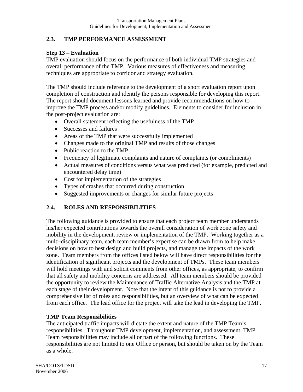#### **2.3. TMP PERFORMANCE ASSESSMENT**

#### **Step 13 – Evaluation**

TMP evaluation should focus on the performance of both individual TMP strategies and overall performance of the TMP. Various measures of effectiveness and measuring techniques are appropriate to corridor and strategy evaluation.

The TMP should include reference to the development of a short evaluation report upon completion of construction and identify the persons responsible for developing this report. The report should document lessons learned and provide recommendations on how to improve the TMP process and/or modify guidelines. Elements to consider for inclusion in the post-project evaluation are:

- Overall statement reflecting the usefulness of the TMP
- Successes and failures
- Areas of the TMP that were successfully implemented
- Changes made to the original TMP and results of those changes
- Public reaction to the TMP
- Frequency of legitimate complaints and nature of complaints (or compliments)
- Actual measures of conditions versus what was predicted (for example, predicted and encountered delay time)
- Cost for implementation of the strategies
- Types of crashes that occurred during construction
- Suggested improvements or changes for similar future projects

#### **2.4. ROLES AND RESPONSIBILITIES**

The following guidance is provided to ensure that each project team member understands his/her expected contributions towards the overall consideration of work zone safety and mobility in the development, review or implementation of the TMP. Working together as a multi-disciplinary team, each team member's expertise can be drawn from to help make decisions on how to best design and build projects, and manage the impacts of the work zone. Team members from the offices listed below will have direct responsibilities for the identification of significant projects and the development of TMPs. These team members will hold meetings with and solicit comments from other offices, as appropriate, to confirm that all safety and mobility concerns are addressed. All team members should be provided the opportunity to review the Maintenance of Traffic Alternative Analysis and the TMP at each stage of their development. Note that the intent of this guidance is not to provide a comprehensive list of roles and responsibilities, but an overview of what can be expected from each office. The lead office for the project will take the lead in developing the TMP.

#### **TMP Team Responsibilities**

The anticipated traffic impacts will dictate the extent and nature of the TMP Team's responsibilities. Throughout TMP development, implementation, and assessment, TMP Team responsibilities may include all or part of the following functions. These responsibilities are not limited to one Office or person, but should be taken on by the Team as a whole.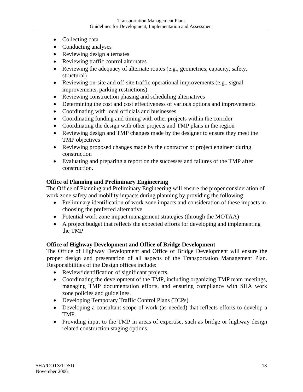- Collecting data
- Conducting analyses
- Reviewing design alternates
- Reviewing traffic control alternates
- Reviewing the adequacy of alternate routes (e.g., geometrics, capacity, safety, structural)
- Reviewing on-site and off-site traffic operational improvements (e.g., signal improvements, parking restrictions)
- Reviewing construction phasing and scheduling alternatives
- Determining the cost and cost effectiveness of various options and improvements
- Coordinating with local officials and businesses
- Coordinating funding and timing with other projects within the corridor
- Coordinating the design with other projects and TMP plans in the region
- Reviewing design and TMP changes made by the designer to ensure they meet the TMP objectives
- Reviewing proposed changes made by the contractor or project engineer during construction
- Evaluating and preparing a report on the successes and failures of the TMP after construction.

#### **Office of Planning and Preliminary Engineering**

The Office of Planning and Preliminary Engineering will ensure the proper consideration of work zone safety and mobility impacts during planning by providing the following:

- Preliminary identification of work zone impacts and consideration of these impacts in choosing the preferred alternative
- Potential work zone impact management strategies (through the MOTAA)
- A project budget that reflects the expected efforts for developing and implementing the TMP

#### **Office of Highway Development and Office of Bridge Development**

The Office of Highway Development and Office of Bridge Development will ensure the proper design and presentation of all aspects of the Transportation Management Plan. Responsibilities of the Design offices include:

- Review/identification of significant projects.
- Coordinating the development of the TMP, including organizing TMP team meetings, managing TMP documentation efforts, and ensuring compliance with SHA work zone policies and guidelines.
- Developing Temporary Traffic Control Plans (TCPs).
- Developing a consultant scope of work (as needed) that reflects efforts to develop a TMP.
- Providing input to the TMP in areas of expertise, such as bridge or highway design related construction staging options.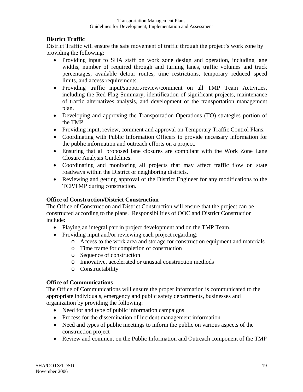#### **District Traffic**

District Traffic will ensure the safe movement of traffic through the project's work zone by providing the following:

- Providing input to SHA staff on work zone design and operation, including lane widths, number of required through and turning lanes, traffic volumes and truck percentages, available detour routes, time restrictions, temporary reduced speed limits, and access requirements.
- Providing traffic input/support/review/comment on all TMP Team Activities, including the Red Flag Summary, identification of significant projects, maintenance of traffic alternatives analysis, and development of the transportation management plan.
- Developing and approving the Transportation Operations (TO) strategies portion of the TMP.
- Providing input, review, comment and approval on Temporary Traffic Control Plans.
- Coordinating with Public Information Officers to provide necessary information for the public information and outreach efforts on a project.
- Ensuring that all proposed lane closures are compliant with the Work Zone Lane Closure Analysis Guidelines.
- Coordinating and monitoring all projects that may affect traffic flow on state roadways within the District or neighboring districts.
- Reviewing and getting approval of the District Engineer for any modifications to the TCP/TMP during construction.

#### **Office of Construction/District Construction**

The Office of Construction and District Construction will ensure that the project can be constructed according to the plans. Responsibilities of OOC and District Construction include:

- Playing an integral part in project development and on the TMP Team.
- Providing input and/or reviewing each project regarding:
	- o Access to the work area and storage for construction equipment and materials
	- o Time frame for completion of construction
	- o Sequence of construction
	- o Innovative, accelerated or unusual construction methods
	- o Constructability

#### **Office of Communications**

The Office of Communications will ensure the proper information is communicated to the appropriate individuals, emergency and public safety departments, businesses and organization by providing the following:

- Need for and type of public information campaigns
- Process for the dissemination of incident management information
- Need and types of public meetings to inform the public on various aspects of the construction project
- Review and comment on the Public Information and Outreach component of the TMP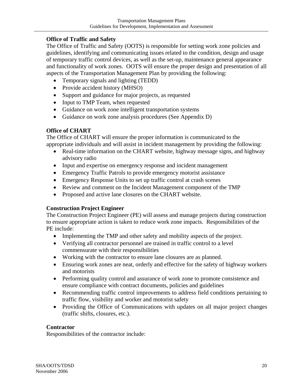#### **Office of Traffic and Safety**

The Office of Traffic and Safety (OOTS) is responsible for setting work zone policies and guidelines, identifying and communicating issues related to the condition, design and usage of temporary traffic control devices, as well as the set-up, maintenance general appearance and functionality of work zones. OOTS will ensure the proper design and presentation of all aspects of the Transportation Management Plan by providing the following:

- Temporary signals and lighting (TEDD)
- Provide accident history (MHSO)
- Support and guidance for major projects, as requested
- Input to TMP Team, when requested
- Guidance on work zone intelligent transportation systems
- Guidance on work zone analysis procedures (See Appendix D)

#### **Office of CHART**

The Office of CHART will ensure the proper information is communicated to the appropriate individuals and will assist in incident management by providing the following:

- Real-time information on the CHART website, highway message signs, and highway advisory radio
- Input and expertise on emergency response and incident management
- Emergency Traffic Patrols to provide emergency motorist assistance
- Emergency Response Units to set up traffic control at crash scenes
- Review and comment on the Incident Management component of the TMP
- Proposed and active lane closures on the CHART website.

#### **Construction Project Engineer**

The Construction Project Engineer (PE) will assess and manage projects during construction to ensure appropriate action is taken to reduce work zone impacts. Responsibilities of the PE include:

- Implementing the TMP and other safety and mobility aspects of the project.
- Verifying all contractor personnel are trained in traffic control to a level commensurate with their responsibilities
- Working with the contractor to ensure lane closures are as planned.
- Ensuring work zones are neat, orderly and effective for the safety of highway workers and motorists
- Performing quality control and assurance of work zone to promote consistence and ensure compliance with contract documents, policies and guidelines
- Recommending traffic control improvements to address field conditions pertaining to traffic flow, visibility and worker and motorist safety
- Providing the Office of Communications with updates on all major project changes (traffic shifts, closures, etc.).

#### **Contractor**

Responsibilities of the contractor include: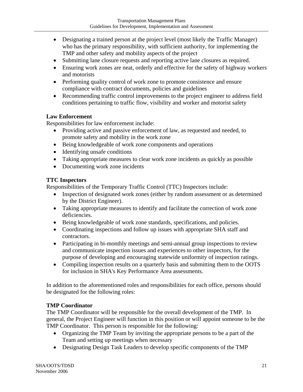- Designating a trained person at the project level (most likely the Traffic Manager) who has the primary responsibility, with sufficient authority, for implementing the TMP and other safety and mobility aspects of the project
- Submitting lane closure requests and reporting active lane closures as required.
- Ensuring work zones are neat, orderly and effective for the safety of highway workers and motorists
- Performing quality control of work zone to promote consistence and ensure compliance with contract documents, policies and guidelines
- Recommending traffic control improvements to the project engineer to address field conditions pertaining to traffic flow, visibility and worker and motorist safety

#### **Law Enforcement**

Responsibilities for law enforcement include:

- Providing active and passive enforcement of law, as requested and needed, to promote safety and mobility in the work zone
- Being knowledgeable of work zone components and operations
- Identifying unsafe conditions
- Taking appropriate measures to clear work zone incidents as quickly as possible
- Documenting work zone incidents

#### **TTC Inspectors**

Responsibilities of the Temporary Traffic Control (TTC) Inspectors include:

- Inspection of designated work zones (either by random assessment or as determined by the District Engineer).
- Taking appropriate measures to identify and facilitate the correction of work zone deficiencies.
- Being knowledgeable of work zone standards, specifications, and policies.
- Coordinating inspections and follow up issues with appropriate SHA staff and contractors.
- Participating in bi-monthly meetings and semi-annual group inspections to review and communicate inspection issues and experiences to other inspectors, for the purpose of developing and encouraging statewide uniformity of inspection ratings.
- Compiling inspection results on a quarterly basis and submitting them to the OOTS for inclusion in SHA's Key Performance Area assessments.

In addition to the aforementioned roles and responsibilities for each office, persons should be designated for the following roles:

#### **TMP Coordinator**

The TMP Coordinator will be responsible for the overall development of the TMP. In general, the Project Engineer will function in this position or will appoint someone to be the TMP Coordinator. This person is responsible for the following:

- Organizing the TMP Team by inviting the appropriate persons to be a part of the Team and setting up meetings when necessary
- Designating Design Task Leaders to develop specific components of the TMP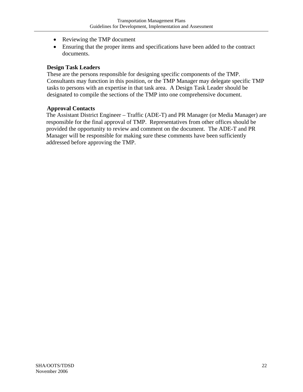- Reviewing the TMP document
- Ensuring that the proper items and specifications have been added to the contract documents.

#### **Design Task Leaders**

These are the persons responsible for designing specific components of the TMP. Consultants may function in this position, or the TMP Manager may delegate specific TMP tasks to persons with an expertise in that task area. A Design Task Leader should be designated to compile the sections of the TMP into one comprehensive document.

#### **Approval Contacts**

The Assistant District Engineer – Traffic (ADE-T) and PR Manager (or Media Manager) are responsible for the final approval of TMP. Representatives from other offices should be provided the opportunity to review and comment on the document. The ADE-T and PR Manager will be responsible for making sure these comments have been sufficiently addressed before approving the TMP.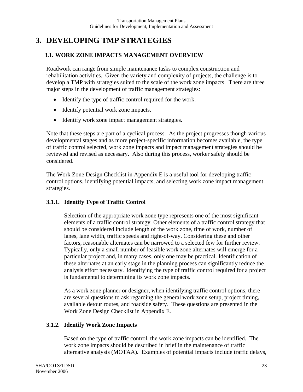# **3. DEVELOPING TMP STRATEGIES**

#### **3.1. WORK ZONE IMPACTS MANAGEMENT OVERVIEW**

Roadwork can range from simple maintenance tasks to complex construction and rehabilitation activities. Given the variety and complexity of projects, the challenge is to develop a TMP with strategies suited to the scale of the work zone impacts. There are three major steps in the development of traffic management strategies:

- Identify the type of traffic control required for the work.
- Identify potential work zone impacts.
- Identify work zone impact management strategies.

Note that these steps are part of a cyclical process. As the project progresses though various developmental stages and as more project-specific information becomes available, the type of traffic control selected, work zone impacts and impact management strategies should be reviewed and revised as necessary. Also during this process, worker safety should be considered.

The Work Zone Design Checklist in Appendix E is a useful tool for developing traffic control options, identifying potential impacts, and selecting work zone impact management strategies.

#### **3.1.1. Identify Type of Traffic Control**

Selection of the appropriate work zone type represents one of the most significant elements of a traffic control strategy. Other elements of a traffic control strategy that should be considered include length of the work zone, time of work, number of lanes, lane width, traffic speeds and right-of-way. Considering these and other factors, reasonable alternates can be narrowed to a selected few for further review. Typically, only a small number of feasible work zone alternates will emerge for a particular project and, in many cases, only one may be practical. Identification of these alternates at an early stage in the planning process can significantly reduce the analysis effort necessary. Identifying the type of traffic control required for a project is fundamental to determining its work zone impacts.

As a work zone planner or designer, when identifying traffic control options, there are several questions to ask regarding the general work zone setup, project timing, available detour routes, and roadside safety. These questions are presented in the Work Zone Design Checklist in Appendix E.

#### **3.1.2. Identify Work Zone Impacts**

Based on the type of traffic control, the work zone impacts can be identified. The work zone impacts should be described in brief in the maintenance of traffic alternative analysis (MOTAA). Examples of potential impacts include traffic delays,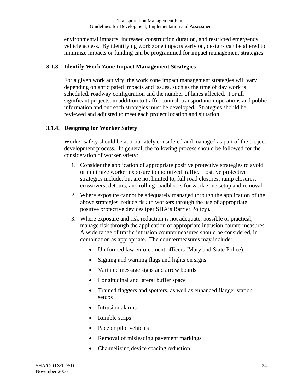environmental impacts, increased construction duration, and restricted emergency vehicle access. By identifying work zone impacts early on, designs can be altered to minimize impacts or funding can be programmed for impact management strategies.

#### **3.1.3. Identify Work Zone Impact Management Strategies**

For a given work activity, the work zone impact management strategies will vary depending on anticipated impacts and issues, such as the time of day work is scheduled, roadway configuration and the number of lanes affected. For all significant projects, in addition to traffic control, transportation operations and public information and outreach strategies must be developed. Strategies should be reviewed and adjusted to meet each project location and situation.

#### **3.1.4. Designing for Worker Safety**

Worker safety should be appropriately considered and managed as part of the project development process. In general, the following process should be followed for the consideration of worker safety:

- 1. Consider the application of appropriate positive protective strategies to avoid or minimize worker exposure to motorized traffic. Positive protective strategies include, but are not limited to, full road closures; ramp closures; crossovers; detours; and rolling roadblocks for work zone setup and removal.
- 2. Where exposure cannot be adequately managed through the application of the above strategies, reduce risk to workers through the use of appropriate positive protective devices (per SHA's Barrier Policy).
- 3. Where exposure and risk reduction is not adequate, possible or practical, manage risk through the application of appropriate intrusion countermeasures. A wide range of traffic intrusion countermeasures should be considered, in combination as appropriate. The countermeasures may include:
	- Uniformed law enforcement officers (Maryland State Police)
	- Signing and warning flags and lights on signs
	- Variable message signs and arrow boards
	- Longitudinal and lateral buffer space
	- Trained flaggers and spotters, as well as enhanced flagger station setups
	- Intrusion alarms
	- Rumble strips
	- Pace or pilot vehicles
	- Removal of misleading pavement markings
	- Channelizing device spacing reduction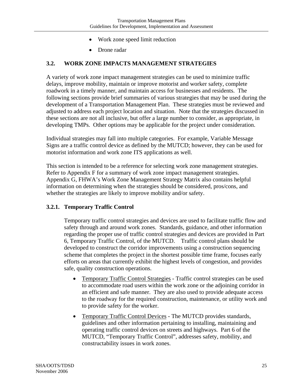- Work zone speed limit reduction
- Drone radar

#### **3.2. WORK ZONE IMPACTS MANAGEMENT STRATEGIES**

A variety of work zone impact management strategies can be used to minimize traffic delays, improve mobility, maintain or improve motorist and worker safety, complete roadwork in a timely manner, and maintain access for businesses and residents. The following sections provide brief summaries of various strategies that may be used during the development of a Transportation Management Plan. These strategies must be reviewed and adjusted to address each project location and situation. Note that the strategies discussed in these sections are not all inclusive, but offer a large number to consider, as appropriate, in developing TMPs. Other options may be applicable for the project under consideration.

Individual strategies may fall into multiple categories. For example, Variable Message Signs are a traffic control device as defined by the MUTCD; however, they can be used for motorist information and work zone ITS applications as well.

This section is intended to be a reference for selecting work zone management strategies. Refer to Appendix F for a summary of work zone impact management strategies. Appendix G, FHWA's Work Zone Management Strategy Matrix also contains helpful information on determining when the strategies should be considered, pros/cons, and whether the strategies are likely to improve mobility and/or safety.

#### **3.2.1. Temporary Traffic Control**

Temporary traffic control strategies and devices are used to facilitate traffic flow and safety through and around work zones. Standards, guidance, and other information regarding the proper use of traffic control strategies and devices are provided in Part 6, Temporary Traffic Control, of the MUTCD. Traffic control plans should be developed to construct the corridor improvements using a construction sequencing scheme that completes the project in the shortest possible time frame, focuses early efforts on areas that currently exhibit the highest levels of congestion, and provides safe, quality construction operations.

- Temporary Traffic Control Strategies Traffic control strategies can be used to accommodate road users within the work zone or the adjoining corridor in an efficient and safe manner. They are also used to provide adequate access to the roadway for the required construction, maintenance, or utility work and to provide safety for the worker.
- Temporary Traffic Control Devices The MUTCD provides standards, guidelines and other information pertaining to installing, maintaining and operating traffic control devices on streets and highways. Part 6 of the MUTCD, "Temporary Traffic Control", addresses safety, mobility, and constructability issues in work zones.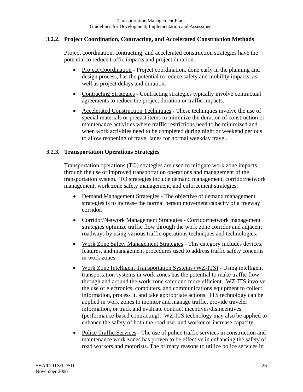#### **3.2.2. Project Coordination, Contracting, and Accelerated Construction Methods**

Project coordination, contracting, and accelerated construction strategies have the potential to reduce traffic impacts and project duration.

- Project Coordination Project coordination, done early in the planning and design process, has the potential to reduce safety and mobility impacts, as well as project delays and duration.
- Contracting Strategies Contracting strategies typically involve contractual agreements to reduce the project duration or traffic impacts.
- Accelerated Construction Techniques These techniques involve the use of special materials or precast items to minimize the duration of construction or maintenance activities where traffic restrictions need to be minimized and when work activities need to be completed during night or weekend periods to allow reopening of travel lanes for normal weekday travel.

#### **3.2.3. Transportation Operations Strategies**

Transportation operations (TO) strategies are used to mitigate work zone impacts through the use of improved transportation operations and management of the transportation system. TO strategies include demand management, corridor/network management, work zone safety management, and enforcement strategies:

- Demand Management Strategies The objective of demand management strategies is to increase the normal person movement capacity of a freeway corridor.
- Corridor/Network Management Strategies Corridor/network management strategies optimize traffic flow through the work zone corridor and adjacent roadways by using various traffic operations techniques and technologies.
- Work Zone Safety Management Strategies This category includes devices, features, and management procedures used to address traffic safety concerns in work zones.
- Work Zone Intelligent Transportation Systems (WZ-ITS) Using intelligent transportation systems in work zones has the potential to make traffic flow through and around the work zone safer and more efficient. WZ-ITS involve the use of electronics, computers, and communications equipment to collect information, process it, and take appropriate actions. ITS technology can be applied in work zones to monitor and manage traffic, provide traveler information, or track and evaluate contract incentives/disincentives (performance-based contracting). WZ-ITS technology may also be applied to enhance the safety of both the road user and worker or increase capacity.
- Police Traffic Services The use of police traffic services in construction and maintenance work zones has proven to be effective in enhancing the safety of road workers and motorists. The primary reasons to utilize police services in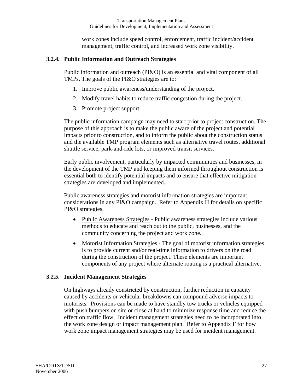work zones include speed control, enforcement, traffic incident/accident management, traffic control, and increased work zone visibility.

#### **3.2.4. Public Information and Outreach Strategies**

Public information and outreach (PI&O) is an essential and vital component of all TMPs. The goals of the PI&O strategies are to:

- 1. Improve public awareness/understanding of the project.
- 2. Modify travel habits to reduce traffic congestion during the project.
- 3. Promote project support.

The public information campaign may need to start prior to project construction. The purpose of this approach is to make the public aware of the project and potential impacts prior to construction, and to inform the public about the construction status and the available TMP program elements such as alternative travel routes, additional shuttle service, park-and-ride lots, or improved transit services.

Early public involvement, particularly by impacted communities and businesses, in the development of the TMP and keeping them informed throughout construction is essential both to identify potential impacts and to ensure that effective mitigation strategies are developed and implemented.

Public awareness strategies and motorist information strategies are important considerations in any PI&O campaign. Refer to Appendix H for details on specific PI&O strategies.

- Public Awareness Strategies Public awareness strategies include various methods to educate and reach out to the public, businesses, and the community concerning the project and work zone.
- Motorist Information Strategies The goal of motorist information strategies is to provide current and/or real-time information to drivers on the road during the construction of the project. These elements are important components of any project where alternate routing is a practical alternative.

#### **3.2.5. Incident Management Strategies**

On highways already constricted by construction, further reduction in capacity caused by accidents or vehicular breakdowns can compound adverse impacts to motorists. Provisions can be made to have standby tow trucks or vehicles equipped with push bumpers on site or close at hand to minimize response time and reduce the effect on traffic flow. Incident management strategies need to be incorporated into the work zone design or impact management plan. Refer to Appendix F for how work zone impact management strategies may be used for incident management.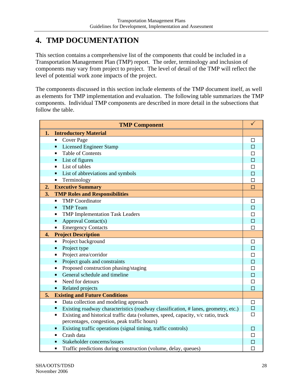# **4. TMP DOCUMENTATION**

This section contains a comprehensive list of the components that could be included in a Transportation Management Plan (TMP) report. The order, terminology and inclusion of components may vary from project to project. The level of detail of the TMP will reflect the level of potential work zone impacts of the project.

The components discussed in this section include elements of the TMP document itself, as well as elements for TMP implementation and evaluation. The following table summarizes the TMP components. Individual TMP components are described in more detail in the subsections that follow the table.

|    | <b>TMP Component</b>                                                                    | $\checkmark$ |
|----|-----------------------------------------------------------------------------------------|--------------|
| 1. | <b>Introductory Material</b>                                                            |              |
|    | <b>Cover Page</b><br>Ξ                                                                  | □            |
|    | <b>Licensed Engineer Stamp</b><br>ο                                                     | $\Box$       |
|    | <b>Table of Contents</b><br>٠                                                           | $\Box$       |
|    | List of figures<br>Π.                                                                   | $\Box$       |
|    | List of tables<br>$\blacksquare$                                                        | □            |
|    | List of abbreviations and symbols<br>$\blacksquare$                                     | П            |
|    | Terminology<br>٠                                                                        | П            |
| 2. | <b>Executive Summary</b>                                                                | $\Box$       |
| 3. | <b>TMP Roles and Responsibilities</b>                                                   |              |
|    | <b>TMP</b> Coordinator<br>$\blacksquare$                                                | $\Box$       |
|    | <b>TMP</b> Team<br>$\blacksquare$                                                       | □            |
|    | <b>TMP Implementation Task Leaders</b><br>$\blacksquare$                                | П            |
|    | <b>Approval Contact(s)</b><br>п                                                         | $\Box$       |
|    | <b>Emergency Contacts</b><br>٠                                                          | $\Box$       |
| 4. | <b>Project Description</b>                                                              |              |
|    | Project background<br>п                                                                 | П            |
|    | Project type<br>п                                                                       | □            |
|    | Project area/corridor<br>$\blacksquare$                                                 | $\Box$       |
|    | Project goals and constraints<br>п                                                      | $\Box$       |
|    | Proposed construction phasing/staging<br>п                                              | $\Box$       |
|    | General schedule and timeline<br>$\blacksquare$                                         | $\Box$       |
|    | Need for detours<br>$\blacksquare$                                                      | $\Box$       |
|    | Related projects<br>п                                                                   | $\Box$       |
| 5. | <b>Existing and Future Conditions</b>                                                   |              |
|    | Data collection and modeling approach<br>٠                                              | $\Box$       |
|    | п<br>Existing roadway characteristics (roadway classification, # lanes, geometry, etc.) | $\Box$       |
|    | Existing and historical traffic data (volumes, speed, capacity, v/c ratio, truck<br>П   | П            |
|    | percentages, congestion, peak traffic hours)                                            |              |
|    | Existing traffic operations (signal timing, traffic controls)<br>п                      | П            |
|    | Crash data<br>$\blacksquare$                                                            | □            |
|    | Stakeholder concerns/issues<br>п                                                        | П            |
|    | Traffic predictions during construction (volume, delay, queues)<br>$\blacksquare$       | □            |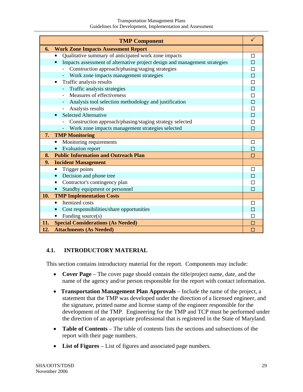|     | <b>TMP Component</b>                                                                         |                |
|-----|----------------------------------------------------------------------------------------------|----------------|
| 6.  | <b>Work Zone Impacts Assessment Report</b>                                                   |                |
|     | Qualitative summary of anticipated work zone impacts<br>п                                    | П              |
|     | Impacts assessment of alternative project design and management strategies<br>$\blacksquare$ |                |
|     | Construction approach/phasing/staging strategies                                             | □              |
|     | - Work zone impacts management strategies                                                    | П              |
|     | Traffic analysis results<br>$\blacksquare$                                                   | П              |
|     | Traffic analysis strategies<br>Ξ.                                                            | $\Box$         |
|     | Measures of effectiveness                                                                    | $\Box$         |
|     | Analysis tool selection methodology and justification                                        | $\Box$         |
|     | Analysis results<br>-                                                                        | $\Box$         |
|     | <b>Selected Alternative</b><br>$\blacksquare$                                                | $\Box$         |
|     | Construction approach/phasing/staging strategy selected                                      | П              |
|     | Work zone impacts management strategies selected                                             | П              |
| 7.  | <b>TMP Monitoring</b>                                                                        |                |
|     | Monitoring requirements<br>$\blacksquare$                                                    | □              |
|     | <b>Evaluation report</b><br>п                                                                |                |
| 8.  | <b>Public Information and Outreach Plan</b>                                                  | П              |
| 9.  | <b>Incident Management</b>                                                                   |                |
|     | Trigger points<br>$\blacksquare$                                                             | $\Box$         |
|     | Decision and phone tree<br>$\blacksquare$                                                    |                |
|     | Contractor's contingency plan<br>п                                                           |                |
|     | Standby equipment or personnel                                                               |                |
| 10. | <b>TMP Implementation Costs</b>                                                              |                |
|     | Itemized costs<br>$\blacksquare$                                                             | П              |
|     | Cost responsibilities/share opportunities<br>п                                               |                |
|     | Funding source(s)<br>٠                                                                       |                |
| 11. | <b>Special Considerations (As Needed)</b>                                                    | П              |
| 12. | <b>Attachments (As Needed)</b>                                                               | $\blacksquare$ |

#### **4.1. INTRODUCTORY MATERIAL**

This section contains introductory material for the report. Components may include:

- **Cover Page** The cover page should contain the title/project name, date, and the name of the agency and/or person responsible for the report with contact information.
- **Transportation Management Plan Approvals** Include the name of the project, a statement that the TMP was developed under the direction of a licensed engineer, and the signature, printed name and license stamp of the engineer responsible for the development of the TMP. Engineering for the TMP and TCP must be performed under the direction of an appropriate professional that is registered in the State of Maryland.
- **Table of Contents** The table of contents lists the sections and subsections of the report with their page numbers.
- **List of Figures** List of figures and associated page numbers.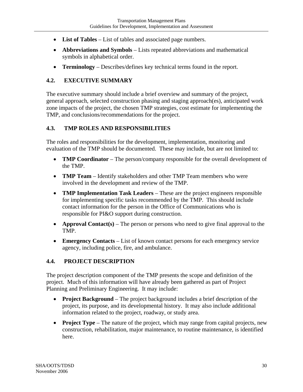- **List of Tables** List of tables and associated page numbers.
- **Abbreviations and Symbols** Lists repeated abbreviations and mathematical symbols in alphabetical order.
- **Terminology** Describes/defines key technical terms found in the report.

#### **4.2. EXECUTIVE SUMMARY**

The executive summary should include a brief overview and summary of the project, general approach, selected construction phasing and staging approach(es), anticipated work zone impacts of the project, the chosen TMP strategies, cost estimate for implementing the TMP, and conclusions/recommendations for the project.

#### **4.3. TMP ROLES AND RESPONSIBILITIES**

The roles and responsibilities for the development, implementation, monitoring and evaluation of the TMP should be documented. These may include, but are not limited to:

- **TMP Coordinator** The person/company responsible for the overall development of the TMP.
- **TMP Team** Identify stakeholders and other TMP Team members who were involved in the development and review of the TMP.
- **TMP Implementation Task Leaders** These are the project engineers responsible for implementing specific tasks recommended by the TMP. This should include contact information for the person in the Office of Communications who is responsible for PI&O support during construction.
- **Approval Contact(s)** The person or persons who need to give final approval to the TMP.
- **Emergency Contacts** List of known contact persons for each emergency service agency, including police, fire, and ambulance.

#### **4.4. PROJECT DESCRIPTION**

The project description component of the TMP presents the scope and definition of the project. Much of this information will have already been gathered as part of Project Planning and Preliminary Engineering. It may include:

- **Project Background** The project background includes a brief description of the project, its purpose, and its developmental history. It may also include additional information related to the project, roadway, or study area.
- **Project Type** The nature of the project, which may range from capital projects, new construction, rehabilitation, major maintenance, to routine maintenance, is identified here.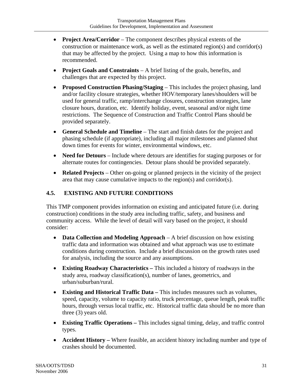- **Project Area/Corridor** The component describes physical extents of the construction or maintenance work, as well as the estimated region(s) and corridor(s) that may be affected by the project. Using a map to how this information is recommended.
- **Project Goals and Constraints** A brief listing of the goals, benefits, and challenges that are expected by this project.
- **Proposed Construction Phasing/Staging**  This includes the project phasing, land and/or facility closure strategies, whether HOV/temporary lanes/shoulders will be used for general traffic, ramp/interchange closures, construction strategies, lane closure hours, duration, etc. Identify holiday, event, seasonal and/or night time restrictions. The Sequence of Construction and Traffic Control Plans should be provided separately.
- **General Schedule and Timeline**  The start and finish dates for the project and phasing schedule (if appropriate), including all major milestones and planned shut down times for events for winter, environmental windows, etc.
- **Need for Detours** Include where detours are identifies for staging purposes or for alternate routes for contingencies. Detour plans should be provided separately.
- **Related Projects** Other on-going or planned projects in the vicinity of the project area that may cause cumulative impacts to the region(s) and corridor(s).

## **4.5. EXISTING AND FUTURE CONDITIONS**

This TMP component provides information on existing and anticipated future (i.e. during construction) conditions in the study area including traffic, safety, and business and community access. While the level of detail will vary based on the project, it should consider:

- **Data Collection and Modeling Approach** A brief discussion on how existing traffic data and information was obtained and what approach was use to estimate conditions during construction. Include a brief discussion on the growth rates used for analysis, including the source and any assumptions.
- **Existing Roadway Characteristics** This included a history of roadways in the study area, roadway classification(s), number of lanes, geometrics, and urban/suburban/rural.
- **Existing and Historical Traffic Data –** This includes measures such as volumes, speed, capacity, volume to capacity ratio, truck percentage, queue length, peak traffic hours, through versus local traffic, etc. Historical traffic data should be no more than three (3) years old.
- **Existing Traffic Operations –** This includes signal timing, delay, and traffic control types.
- **Accident History** Where feasible, an accident history including number and type of crashes should be documented.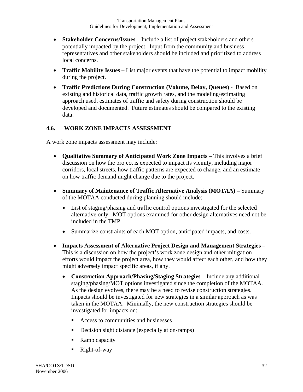- **Stakeholder Concerns/Issues –** Include a list of project stakeholders and others potentially impacted by the project. Input from the community and business representatives and other stakeholders should be included and prioritized to address local concerns.
- **Traffic Mobility Issues –** List major events that have the potential to impact mobility during the project.
- **Traffic Predictions During Construction (Volume, Delay, Queues)** Based on existing and historical data, traffic growth rates, and the modeling/estimating approach used, estimates of traffic and safety during construction should be developed and documented. Future estimates should be compared to the existing data.

#### **4.6. WORK ZONE IMPACTS ASSESSMENT**

A work zone impacts assessment may include:

- **Qualitative Summary of Anticipated Work Zone Impacts** This involves a brief discussion on how the project is expected to impact its vicinity, including major corridors, local streets, how traffic patterns are expected to change, and an estimate on how traffic demand might change due to the project.
- **Summary of Maintenance of Traffic Alternative Analysis (MOTAA)** Summary of the MOTAA conducted during planning should include:
	- List of staging/phasing and traffic control options investigated for the selected alternative only. MOT options examined for other design alternatives need not be included in the TMP.
	- Summarize constraints of each MOT option, anticipated impacts, and costs.
- **Impacts Assessment of Alternative Project Design and Management Strategies** This is a discussion on how the project's work zone design and other mitigation efforts would impact the project area, how they would affect each other, and how they might adversely impact specific areas, if any.
	- **Construction Approach/Phasing/Staging Strategies**  Include any additional staging/phasing/MOT options investigated since the completion of the MOTAA. As the design evolves, there may be a need to revise construction strategies. Impacts should be investigated for new strategies in a similar approach as was taken in the MOTAA. Minimally, the new construction strategies should be investigated for impacts on:
		- Access to communities and businesses
		- Decision sight distance (especially at on-ramps)
		- Ramp capacity
		- Right-of-way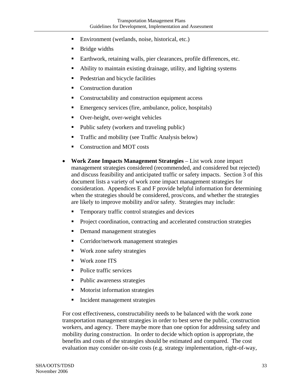- Environment (wetlands, noise, historical, etc.)
- Bridge widths
- Earthwork, retaining walls, pier clearances, profile differences, etc.
- Ability to maintain existing drainage, utility, and lighting systems
- **Pedestrian and bicycle facilities**
- Construction duration
- Constructability and construction equipment access
- Emergency services (fire, ambulance, police, hospitals)
- Over-height, over-weight vehicles
- Public safety (workers and traveling public)
- Traffic and mobility (see Traffic Analysis below)
- Construction and MOT costs
- **Work Zone Impacts Management Strategies** List work zone impact management strategies considered (recommended, and considered but rejected) and discuss feasibility and anticipated traffic or safety impacts. Section 3 of this document lists a variety of work zone impact management strategies for consideration. Appendices E and F provide helpful information for determining when the strategies should be considered, pros/cons, and whether the strategies are likely to improve mobility and/or safety. Strategies may include:
	- Temporary traffic control strategies and devices
	- Project coordination, contracting and accelerated construction strategies
	- Demand management strategies
	- Corridor/network management strategies
	- Work zone safety strategies
	- Work zone ITS
	- Police traffic services
	- Public awareness strategies
	- **Motorist information strategies**
	- Incident management strategies

For cost effectiveness, constructability needs to be balanced with the work zone transportation management strategies in order to best serve the public, construction workers, and agency. There maybe more than one option for addressing safety and mobility during construction. In order to decide which option is appropriate, the benefits and costs of the strategies should be estimated and compared. The cost evaluation may consider on-site costs (e.g. strategy implementation, right-of-way,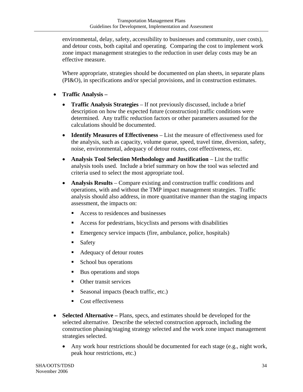environmental, delay, safety, accessibility to businesses and community, user costs), and detour costs, both capital and operating. Comparing the cost to implement work zone impact management strategies to the reduction in user delay costs may be an effective measure.

Where appropriate, strategies should be documented on plan sheets, in separate plans (PI&O), in specifications and/or special provisions, and in construction estimates.

- **Traffic Analysis** 
	- **Traffic Analysis Strategies**  If not previously discussed, include a brief description on how the expected future (construction) traffic conditions were determined. Any traffic reduction factors or other parameters assumed for the calculations should be documented.
	- **Identify Measures of Effectiveness** List the measure of effectiveness used for the analysis, such as capacity, volume queue, speed, travel time, diversion, safety, noise, environmental, adequacy of detour routes, cost effectiveness, etc.
	- **Analysis Tool Selection Methodology and Justification** List the traffic analysis tools used. Include a brief summary on how the tool was selected and criteria used to select the most appropriate tool.
	- **Analysis Results** Compare existing and construction traffic conditions and operations, with and without the TMP impact management strategies. Traffic analysis should also address, in more quantitative manner than the staging impacts assessment, the impacts on:
		- Access to residences and businesses
		- Access for pedestrians, bicyclists and persons with disabilities
		- Emergency service impacts (fire, ambulance, police, hospitals)
		- **Safety**
		- Adequacy of detour routes
		- School bus operations
		- Bus operations and stops
		- Other transit services
		- Seasonal impacts (beach traffic, etc.)
		- Cost effectiveness
- **Selected Alternative** Plans, specs, and estimates should be developed for the selected alternative. Describe the selected construction approach, including the construction phasing/staging strategy selected and the work zone impact management strategies selected.
	- Any work hour restrictions should be documented for each stage (e.g., night work, peak hour restrictions, etc.)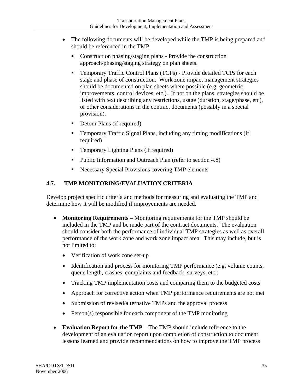- The following documents will be developed while the TMP is being prepared and should be referenced in the TMP:
	- **Construction phasing/staging plans Provide the construction** approach/phasing/staging strategy on plan sheets.
	- Temporary Traffic Control Plans (TCPs) Provide detailed TCPs for each stage and phase of construction. Work zone impact management strategies should be documented on plan sheets where possible (e.g. geometric improvements, control devices, etc.). If not on the plans, strategies should be listed with text describing any restrictions, usage (duration, stage/phase, etc), or other considerations in the contract documents (possibly in a special provision).
	- Detour Plans (if required)
	- Temporary Traffic Signal Plans, including any timing modifications (if required)
	- **Temporary Lighting Plans (if required)**
	- Public Information and Outreach Plan (refer to section 4.8)
	- Necessary Special Provisions covering TMP elements

#### **4.7. TMP MONITORING/EVALUATION CRITERIA**

Develop project specific criteria and methods for measuring and evaluating the TMP and determine how it will be modified if improvements are needed.

- **Monitoring Requirements** Monitoring requirements for the TMP should be included in the TMP and be made part of the contract documents. The evaluation should consider both the performance of individual TMP strategies as well as overall performance of the work zone and work zone impact area. This may include, but is not limited to:
	- Verification of work zone set-up
	- Identification and process for monitoring TMP performance (e.g. volume counts, queue length, crashes, complaints and feedback, surveys, etc.)
	- Tracking TMP implementation costs and comparing them to the budgeted costs
	- Approach for corrective action when TMP performance requirements are not met
	- Submission of revised/alternative TMPs and the approval process
	- Person(s) responsible for each component of the TMP monitoring
- **Evaluation Report for the TMP** The TMP should include reference to the development of an evaluation report upon completion of construction to document lessons learned and provide recommendations on how to improve the TMP process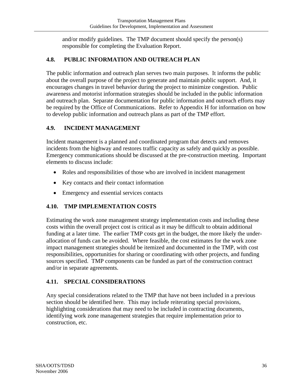and/or modify guidelines. The TMP document should specify the person(s) responsible for completing the Evaluation Report.

#### **4.8. PUBLIC INFORMATION AND OUTREACH PLAN**

The public information and outreach plan serves two main purposes. It informs the public about the overall purpose of the project to generate and maintain public support. And, it encourages changes in travel behavior during the project to minimize congestion. Public awareness and motorist information strategies should be included in the public information and outreach plan. Separate documentation for public information and outreach efforts may be required by the Office of Communications. Refer to Appendix H for information on how to develop public information and outreach plans as part of the TMP effort.

#### **4.9. INCIDENT MANAGEMENT**

Incident management is a planned and coordinated program that detects and removes incidents from the highway and restores traffic capacity as safely and quickly as possible. Emergency communications should be discussed at the pre-construction meeting. Important elements to discuss include:

- Roles and responsibilities of those who are involved in incident management
- Key contacts and their contact information
- Emergency and essential services contacts

#### **4.10. TMP IMPLEMENTATION COSTS**

Estimating the work zone management strategy implementation costs and including these costs within the overall project cost is critical as it may be difficult to obtain additional funding at a later time. The earlier TMP costs get in the budget, the more likely the underallocation of funds can be avoided. Where feasible, the cost estimates for the work zone impact management strategies should be itemized and documented in the TMP, with cost responsibilities, opportunities for sharing or coordinating with other projects, and funding sources specified. TMP components can be funded as part of the construction contract and/or in separate agreements.

#### **4.11. SPECIAL CONSIDERATIONS**

Any special considerations related to the TMP that have not been included in a previous section should be identified here. This may include reiterating special provisions, highlighting considerations that may need to be included in contracting documents, identifying work zone management strategies that require implementation prior to construction, etc.